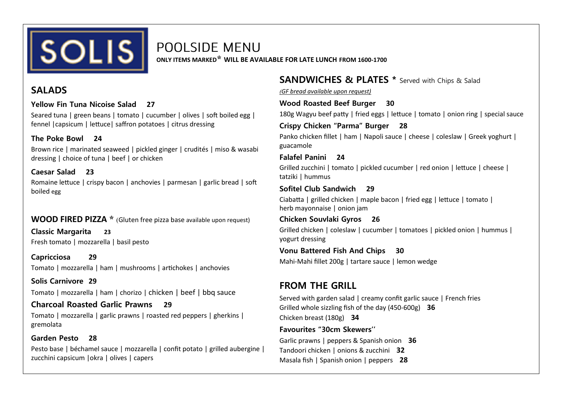

POOLSIDE MENU

**ONLY ITEMS MARKED\* WILL BE AVAILABLE FOR LATE LUNCH FROM 1600-1700**

## **SALADS**

**Yellow Fin Tuna Nicoise Salad 27** 

Seared tuna | green beans | tomato | cucumber | olives | soft boiled egg | fennel |capsicum | lettuce| saffron potatoes | citrus dressing

## **The Poke Bowl 24**

Brown rice | marinated seaweed | pickled ginger | crudités | miso & wasabi dressing | choice of tuna | beef | or chicken

## **Caesar Salad 23**

Romaine lettuce | crispy bacon | anchovies | parmesan | garlic bread | soft boiled egg

## **WOOD FIRED PIZZA \*** (Gluten free pizza base available upon request)

**Classic Margarita 23**  Fresh tomato | mozzarella | basil pesto

**Capricciosa 29**  Tomato | mozzarella | ham | mushrooms | artichokes | anchovies

**Solis Carnivore 29**  Tomato | mozzarella | ham | chorizo | chicken | beef | bbq sauce

## **Charcoal Roasted Garlic Prawns 29**

Tomato | mozzarella | garlic prawns | roasted red peppers | gherkins | gremolata

## **Garden Pesto 28**

Pesto base | béchamel sauce | mozzarella | confit potato | grilled aubergine | zucchini capsicum |okra | olives | capers

# **SANDWICHES & PLATES \*** Served with Chips & Salad

*(GF bread available upon request)*

## **Wood Roasted Beef Burger 30**

180g Wagyu beef patty | fried eggs | lettuce | tomato | onion ring | special sauce

## **Crispy Chicken "Parma" Burger 28**

Panko chicken fillet | ham | Napoli sauce | cheese | coleslaw | Greek yoghurt | guacamole

## **Falafel Panini 24**

Grilled zucchini | tomato | pickled cucumber | red onion | lettuce | cheese | tatziki | hummus

## **Sofitel Club Sandwich 29**

Ciabatta | grilled chicken | maple bacon | fried egg | lettuce | tomato | herb mayonnaise | onion jam

#### **Chicken Souvlaki Gyros 26**

Grilled chicken | coleslaw | cucumber | tomatoes | pickled onion | hummus | yogurt dressing

#### **Vonu Battered Fish And Chips 30**

Mahi-Mahi fillet 200g | tartare sauce | lemon wedge

## **FROM THE GRILL**

Served with garden salad | creamy confit garlic sauce | French fries Grilled whole sizzling fish of the day (450-600g) **36**  Chicken breast (180g) **34**

## **Favourites "30cm Skewers''**

Garlic prawns | peppers & Spanish onion **36**  Tandoori chicken | onions & zucchini **32**  Masala fish | Spanish onion | peppers **28**